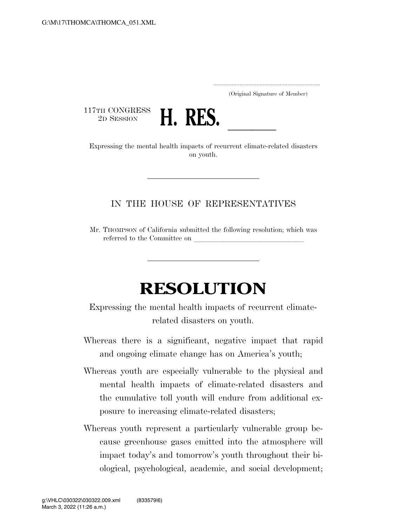.....................................................................

(Original Signature of Member)

117TH CONGRESS<br>2D SESSION



2D SESSION **H. RES.**<br>Expressing the mental health impacts of recurrent climate-related disasters on youth.

## IN THE HOUSE OF REPRESENTATIVES

Mr. THOMPSON of California submitted the following resolution; which was referred to the Committee on

## **RESOLUTION**

Expressing the mental health impacts of recurrent climaterelated disasters on youth.

- Whereas there is a significant, negative impact that rapid and ongoing climate change has on America's youth;
- Whereas youth are especially vulnerable to the physical and mental health impacts of climate-related disasters and the cumulative toll youth will endure from additional exposure to increasing climate-related disasters;
- Whereas youth represent a particularly vulnerable group because greenhouse gases emitted into the atmosphere will impact today's and tomorrow's youth throughout their biological, psychological, academic, and social development;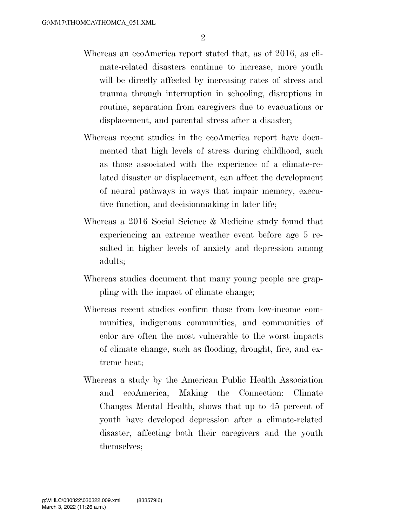- Whereas an ecoAmerica report stated that, as of 2016, as climate-related disasters continue to increase, more youth will be directly affected by increasing rates of stress and trauma through interruption in schooling, disruptions in routine, separation from caregivers due to evacuations or displacement, and parental stress after a disaster;
- Whereas recent studies in the ecoAmerica report have documented that high levels of stress during childhood, such as those associated with the experience of a climate-related disaster or displacement, can affect the development of neural pathways in ways that impair memory, executive function, and decisionmaking in later life;
- Whereas a 2016 Social Science & Medicine study found that experiencing an extreme weather event before age 5 resulted in higher levels of anxiety and depression among adults;
- Whereas studies document that many young people are grappling with the impact of climate change;
- Whereas recent studies confirm those from low-income communities, indigenous communities, and communities of color are often the most vulnerable to the worst impacts of climate change, such as flooding, drought, fire, and extreme heat;
- Whereas a study by the American Public Health Association and ecoAmerica, Making the Connection: Climate Changes Mental Health, shows that up to 45 percent of youth have developed depression after a climate-related disaster, affecting both their caregivers and the youth themselves;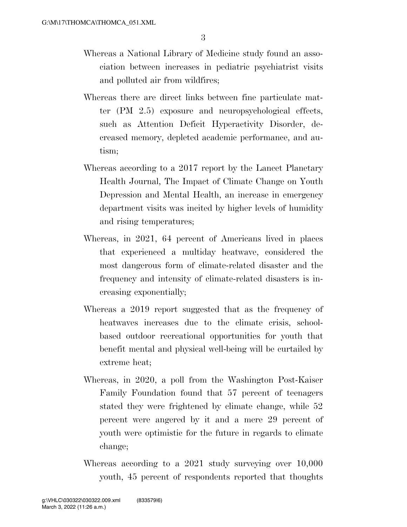- Whereas a National Library of Medicine study found an association between increases in pediatric psychiatrist visits and polluted air from wildfires;
- Whereas there are direct links between fine particulate matter (PM 2.5) exposure and neuropsychological effects, such as Attention Deficit Hyperactivity Disorder, decreased memory, depleted academic performance, and autism;
- Whereas according to a 2017 report by the Lancet Planetary Health Journal, The Impact of Climate Change on Youth Depression and Mental Health, an increase in emergency department visits was incited by higher levels of humidity and rising temperatures;
- Whereas, in 2021, 64 percent of Americans lived in places that experienced a multiday heatwave, considered the most dangerous form of climate-related disaster and the frequency and intensity of climate-related disasters is increasing exponentially;
- Whereas a 2019 report suggested that as the frequency of heatwaves increases due to the climate crisis, schoolbased outdoor recreational opportunities for youth that benefit mental and physical well-being will be curtailed by extreme heat;
- Whereas, in 2020, a poll from the Washington Post-Kaiser Family Foundation found that 57 percent of teenagers stated they were frightened by climate change, while 52 percent were angered by it and a mere 29 percent of youth were optimistic for the future in regards to climate change;
- Whereas according to a 2021 study surveying over 10,000 youth, 45 percent of respondents reported that thoughts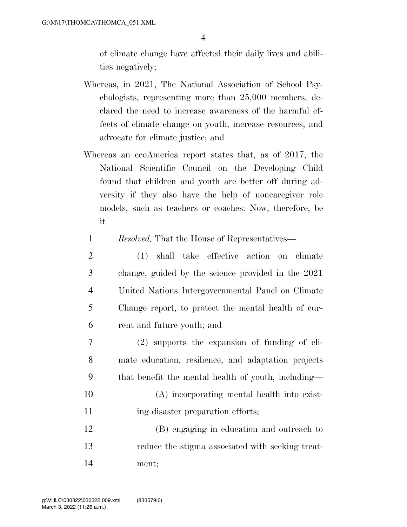of climate change have affected their daily lives and abilities negatively;

- Whereas, in 2021, The National Association of School Psychologists, representing more than 25,000 members, declared the need to increase awareness of the harmful effects of climate change on youth, increase resources, and advocate for climate justice; and
- Whereas an ecoAmerica report states that, as of 2017, the National Scientific Council on the Developing Child found that children and youth are better off during adversity if they also have the help of noncaregiver role models, such as teachers or coaches: Now, therefore, be it
	- 1 *Resolved,* That the House of Representatives—
- 2 (1) shall take effective action on climate 3 change, guided by the science provided in the 2021 4 United Nations Intergovernmental Panel on Climate 5 Change report, to protect the mental health of cur-6 rent and future youth; and
- 7 (2) supports the expansion of funding of cli-8 mate education, resilience, and adaptation projects 9 that benefit the mental health of youth, including—
- 10 (A) incorporating mental health into exist-11 ing disaster preparation efforts;
- 12 (B) engaging in education and outreach to 13 reduce the stigma associated with seeking treat-14 ment;